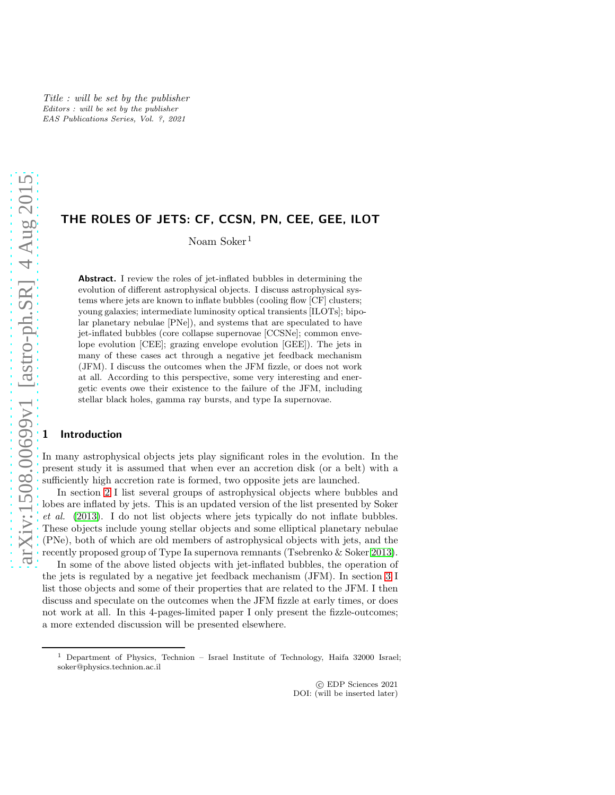# THE ROLES OF JETS: CF, CCSN, PN, CEE, GEE, ILOT

Noam Soker<sup>1</sup>

Abstract. I review the roles of jet-inflated bubbles in determining the evolution of different astrophysical objects. I discuss astrophysical systems where jets are known to inflate bubbles (cooling flow [CF] clusters; young galaxies; intermediate luminosity optical transients [ILOTs]; bipolar planetary nebulae [PNe]), and systems that are speculated to have jet-inflated bubbles (core collapse supernovae [CCSNe]; common envelope evolution [CEE]; grazing envelope evolution [GEE]). The jets in many of these cases act through a negative jet feedback mechanism (JFM). I discuss the outcomes when the JFM fizzle, or does not work at all. According to this perspective, some very interesting and energetic events owe their existence to the failure of the JFM, including stellar black holes, gamma ray bursts, and type Ia supernovae.

#### **Introduction**

In many astrophysical objects jets play significant roles in the evolution. In the present study it is assumed that when ever an accretion disk (or a belt) with a sufficiently high accretion rate is formed, two opposite jets are launched.

In section [2](#page-1-0) I list several groups of astrophysical objects where bubbles and lobes are inflated by jets. This is an updated version of the list presented by Soker *et al.* [\(2013\)](#page-3-0). I do not list objects where jets typically do not inflate bubbles. These objects include young stellar objects and some elliptical planetary nebulae (PNe), both of which are old members of astrophysical objects with jets, and the recently proposed group of Type Ia supernova remnants (Tsebrenko & Soker [2013\)](#page-3-1).

In some of the above listed objects with jet-inflated bubbles, the operation of the jets is regulated by a negative jet feedback mechanism (JFM). In section [3](#page-3-2) I list those objects and some of their properties that are related to the JFM. I then discuss and speculate on the outcomes when the JFM fizzle at early times, or does not work at all. In this 4-pages-limited paper I only present the fizzle-outcomes; a more extended discussion will be presented elsewhere.

<sup>&</sup>lt;sup>1</sup> Department of Physics, Technion – Israel Institute of Technology, Haifa 32000 Israel; soker@physics.technion.ac.il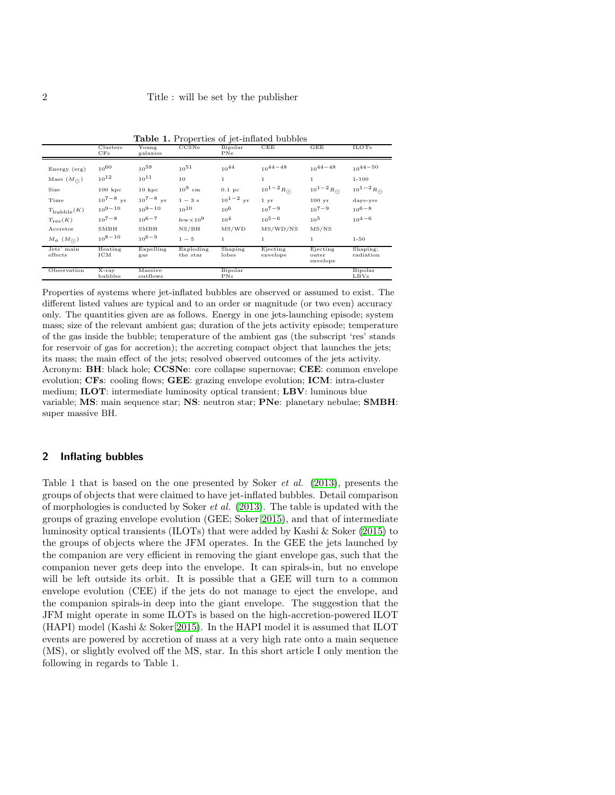|                       | Clusters<br>CFs    | Young<br>galaxies   | CCSNe                 | Bipolar<br>PNe   | CEE                  | GEE                                         | <b>ILOTs</b>          |
|-----------------------|--------------------|---------------------|-----------------------|------------------|----------------------|---------------------------------------------|-----------------------|
| Energy (erg)          | $10^{60}$          | $10^{59}$           | $10^{51}$             | $10^{44}$        | $10^{44-48}$         | $10^{44-48}$                                | $10^{44-50}$          |
| Mass $(M_{\odot})$    | $10^{12}$          | $10^{11}$           | 10                    | $\mathbf{1}$     | $\mathbf{1}$         | $\mathbf{1}$                                | $1 - 100$             |
| Size                  | $100~{\rm kpc}$    | 10 kpc              | $10^9$ cm             | 0.1~pc           | $10^{1-2} R_{\odot}$ | $10^{1-2} R_{\odot}$                        | $10^{1-2} R_{\odot}$  |
| Time                  | $10^{7-8}$ vr      | $10^{7-8}$ yr       | $1-3s$                | $10^{1-2}$ yr    | $1 \, yr$            | 100~yr                                      | days-yrs              |
| $T_{\rm bubble}(K)$   | $10^{9-10}$        | $10^{9-10}$         | $10^{10}$             | $10^{6}$         | $10^{7-9}$           | $10^{7-9}$                                  | $10^{6-8}$            |
| $T_{\text{res}}(K)$   | $10^{7-8}$         | $10^{6-7}$          | $few \times 10^9$     | $10^{4}$         | $10^{5-6}$           | $10^{5}$                                    | $10^{4-6}$            |
| Accretor              | $_{\rm SMBH}$      | SMBH                | NS/BH                 | MS/WD            | MS/WD/NS             | MS/NS                                       |                       |
| $M_a$ $(M_{\odot})$   | $10^{8-10}$        | $10^{6-9}$          | $1 - 5$               | $\mathbf{1}$     | $\mathbf{1}$         | $\mathbf{1}$                                | $1 - 50$              |
| Jets' main<br>effects | Heating<br>ICM     | Expelling<br>gas    | Exploding<br>the star | Shaping<br>lobes | Ejecting<br>envelope | Ejecting<br>$_{\mathrm{outer}}$<br>envelope | Shaping;<br>radiation |
| Observation           | $X-ray$<br>bubbles | Massive<br>outflows |                       | Bipolar<br>PNs   |                      |                                             | Bipolar<br>LBVs       |

Table 1. Properties of jet-inflated bubbles

Properties of systems where jet-inflated bubbles are observed or assumed to exist. The different listed values are typical and to an order or magnitude (or two even) accuracy only. The quantities given are as follows. Energy in one jets-launching episode; system mass; size of the relevant ambient gas; duration of the jets activity episode; temperature of the gas inside the bubble; temperature of the ambient gas (the subscript 'res' stands for reservoir of gas for accretion); the accreting compact object that launches the jets; its mass; the main effect of the jets; resolved observed outcomes of the jets activity. Acronym: BH: black hole; CCSNe: core collapse supernovae; CEE: common envelope evolution; CFs: cooling flows; GEE: grazing envelope evolution; ICM: intra-cluster medium; ILOT: intermediate luminosity optical transient; LBV: luminous blue variable; MS: main sequence star; NS: neutron star; PNe: planetary nebulae; SMBH: super massive BH.

### <span id="page-1-0"></span>2 Inflating bubbles

Table 1 that is based on the one presented by Soker *et al.* [\(2013\)](#page-3-0), presents the groups of objects that were claimed to have jet-inflated bubbles. Detail comparison of morphologies is conducted by Soker *et al.* [\(2013\)](#page-3-0). The table is updated with the groups of grazing envelope evolution (GEE; Soker [2015\)](#page-3-3), and that of intermediate luminosity optical transients (ILOTs) that were added by Kashi & Soker [\(2015\)](#page-3-4) to the groups of objects where the JFM operates. In the GEE the jets launched by the companion are very efficient in removing the giant envelope gas, such that the companion never gets deep into the envelope. It can spirals-in, but no envelope will be left outside its orbit. It is possible that a GEE will turn to a common envelope evolution (CEE) if the jets do not manage to eject the envelope, and the companion spirals-in deep into the giant envelope. The suggestion that the JFM might operate in some ILOTs is based on the high-accretion-powered ILOT  $(HAPI) \text{ model (Kashi & Soker 2015).}$  $(HAPI) \text{ model (Kashi & Soker 2015).}$  $(HAPI) \text{ model (Kashi & Soker 2015).}$  In the HAPI model it is assumed that ILOT events are powered by accretion of mass at a very high rate onto a main sequence (MS), or slightly evolved off the MS, star. In this short article I only mention the following in regards to Table 1.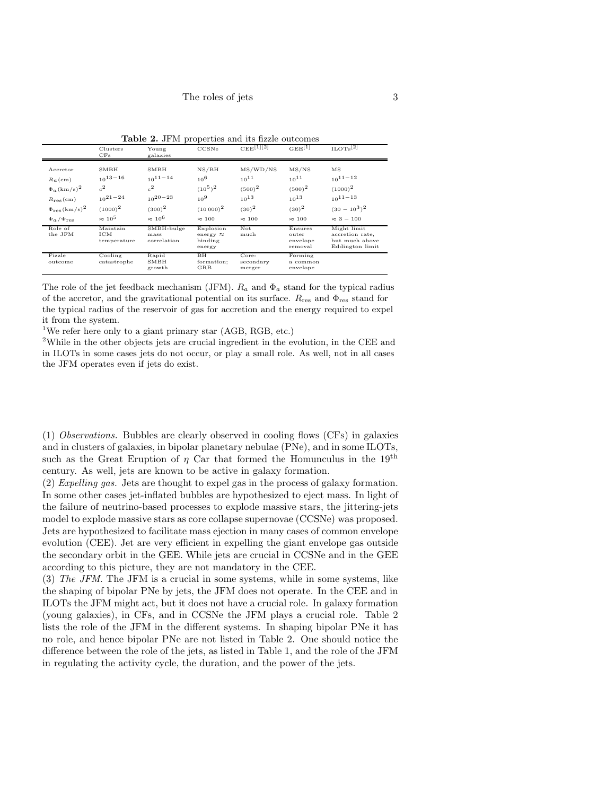|                                                                                                                                                    | Clusters<br>CFs                                                                | Young<br>galaxies                                                                     | CCSNe                                                                       | $CEE^{[1][2]}$                                                               | $GEE^{[1]}$                                                               | $_{\rm ILOTs}$ <sup>[2]</sup>                                                            |
|----------------------------------------------------------------------------------------------------------------------------------------------------|--------------------------------------------------------------------------------|---------------------------------------------------------------------------------------|-----------------------------------------------------------------------------|------------------------------------------------------------------------------|---------------------------------------------------------------------------|------------------------------------------------------------------------------------------|
| Accretor<br>$Ra$ (cm)<br>$\Phi_a(\mathrm{km/s})^2$<br>$R_{\text{res}}(\text{cm})$<br>$\Phi_{\text{res}}(\text{km/s})^2$<br>$\Phi_a/\Phi_{\rm res}$ | SMBH<br>$10^{13-16}$<br>$^{2}$<br>$10^{21-24}$<br>$(1000)^2$<br>$\approx 10^5$ | SMBH<br>$10^{11-14}$<br>$\mathbf{r}^2$<br>$10^{20-23}$<br>$(300)^2$<br>$\approx 10^6$ | NS/BH<br>$10^{6}$<br>$(10^5)^2$<br>$10^{9}$<br>$(10000)^2$<br>$\approx 100$ | MS/WD/NS<br>$10^{11}$<br>$(500)^2$<br>$10^{13}$<br>$(30)^2$<br>$\approx 100$ | MS/NS<br>$10^{11}$<br>$(500)^2$<br>$10^{13}$<br>$(30)^2$<br>$\approx 100$ | MS<br>$10^{11-12}$<br>$(1000)^2$<br>$10^{11-13}$<br>$(30 - 10^3)^2$<br>$\approx$ 3 - 100 |
| Role of<br>the JFM                                                                                                                                 | Maintain<br>ICM<br>temperature                                                 | SMBH-bulge<br>mass<br>correlation                                                     | Explosion<br>energy $\approx$<br>binding<br>energy                          | Not<br>much                                                                  | Ensures<br>outer<br>envelope<br>removal                                   | Might limit<br>accretion rate,<br>but much above<br>Eddington limit                      |
| Fizzle<br>outcome                                                                                                                                  | Cooling<br>catastrophe                                                         | Rapid<br>SMBH<br>growth                                                               | ВH<br>formation;<br>GRB                                                     | $Core-$<br>secondary<br>merger                                               | Forming<br>a common<br>envelope                                           |                                                                                          |

Table 2. JFM properties and its fizzle outcomes

The role of the jet feedback mechanism (JFM).  $R_a$  and  $\Phi_a$  stand for the typical radius of the accretor, and the gravitational potential on its surface.  $R_{\text{res}}$  and  $\Phi_{\text{res}}$  stand for the typical radius of the reservoir of gas for accretion and the energy required to expel it from the system.

<sup>1</sup>We refer here only to a giant primary star (AGB, RGB, etc.)

 $2$ While in the other objects jets are crucial ingredient in the evolution, in the CEE and in ILOTs in some cases jets do not occur, or play a small role. As well, not in all cases the JFM operates even if jets do exist.

(1) *Observations.* Bubbles are clearly observed in cooling flows (CFs) in galaxies and in clusters of galaxies, in bipolar planetary nebulae (PNe), and in some ILOTs, such as the Great Eruption of  $\eta$  Car that formed the Homunculus in the 19<sup>th</sup> century. As well, jets are known to be active in galaxy formation.

(2) *Expelling gas.* Jets are thought to expel gas in the process of galaxy formation. In some other cases jet-inflated bubbles are hypothesized to eject mass. In light of the failure of neutrino-based processes to explode massive stars, the jittering-jets model to explode massive stars as core collapse supernovae (CCSNe) was proposed. Jets are hypothesized to facilitate mass ejection in many cases of common envelope evolution (CEE). Jet are very efficient in expelling the giant envelope gas outside the secondary orbit in the GEE. While jets are crucial in CCSNe and in the GEE according to this picture, they are not mandatory in the CEE.

(3) *The JFM.* The JFM is a crucial in some systems, while in some systems, like the shaping of bipolar PNe by jets, the JFM does not operate. In the CEE and in ILOTs the JFM might act, but it does not have a crucial role. In galaxy formation (young galaxies), in CFs, and in CCSNe the JFM plays a crucial role. Table 2 lists the role of the JFM in the different systems. In shaping bipolar PNe it has no role, and hence bipolar PNe are not listed in Table 2. One should notice the difference between the role of the jets, as listed in Table 1, and the role of the JFM in regulating the activity cycle, the duration, and the power of the jets.